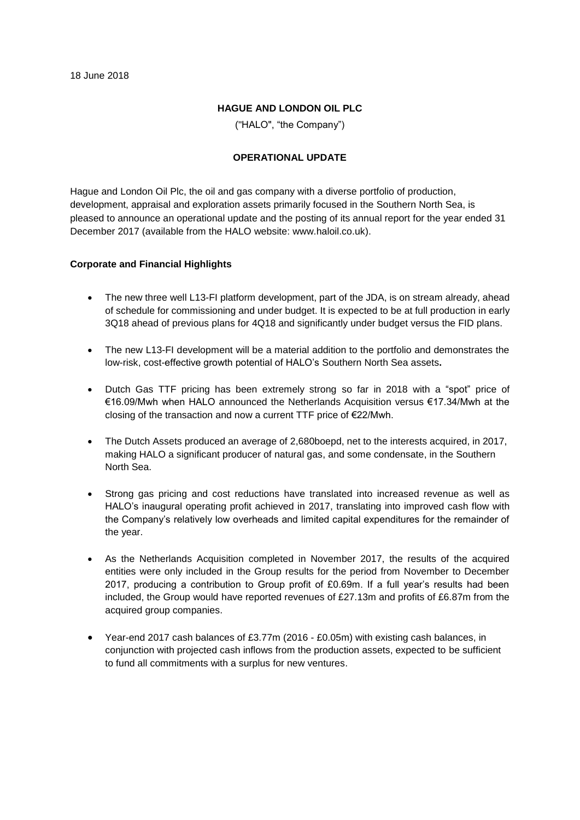#### **HAGUE AND LONDON OIL PLC**

("HALO", "the Company")

#### **OPERATIONAL UPDATE**

Hague and London Oil Plc, the oil and gas company with a diverse portfolio of production, development, appraisal and exploration assets primarily focused in the Southern North Sea, is pleased to announce an operational update and the posting of its annual report for the year ended 31 December 2017 (available from the HALO website: www.haloil.co.uk).

#### **Corporate and Financial Highlights**

- The new three well L13-FI platform development, part of the JDA, is on stream already, ahead of schedule for commissioning and under budget. It is expected to be at full production in early 3Q18 ahead of previous plans for 4Q18 and significantly under budget versus the FID plans.
- The new L13-FI development will be a material addition to the portfolio and demonstrates the low-risk, cost-effective growth potential of HALO's Southern North Sea assets**.**
- Dutch Gas TTF pricing has been extremely strong so far in 2018 with a "spot" price of €16.09/Mwh when HALO announced the Netherlands Acquisition versus €17.34/Mwh at the closing of the transaction and now a current TTF price of €22/Mwh.
- The Dutch Assets produced an average of 2,680boepd, net to the interests acquired, in 2017, making HALO a significant producer of natural gas, and some condensate, in the Southern North Sea.
- Strong gas pricing and cost reductions have translated into increased revenue as well as HALO's inaugural operating profit achieved in 2017, translating into improved cash flow with the Company's relatively low overheads and limited capital expenditures for the remainder of the year.
- As the Netherlands Acquisition completed in November 2017, the results of the acquired entities were only included in the Group results for the period from November to December 2017, producing a contribution to Group profit of £0.69m. If a full year's results had been included, the Group would have reported revenues of £27.13m and profits of £6.87m from the acquired group companies.
- Year-end 2017 cash balances of £3.77m (2016 £0.05m) with existing cash balances, in conjunction with projected cash inflows from the production assets, expected to be sufficient to fund all commitments with a surplus for new ventures.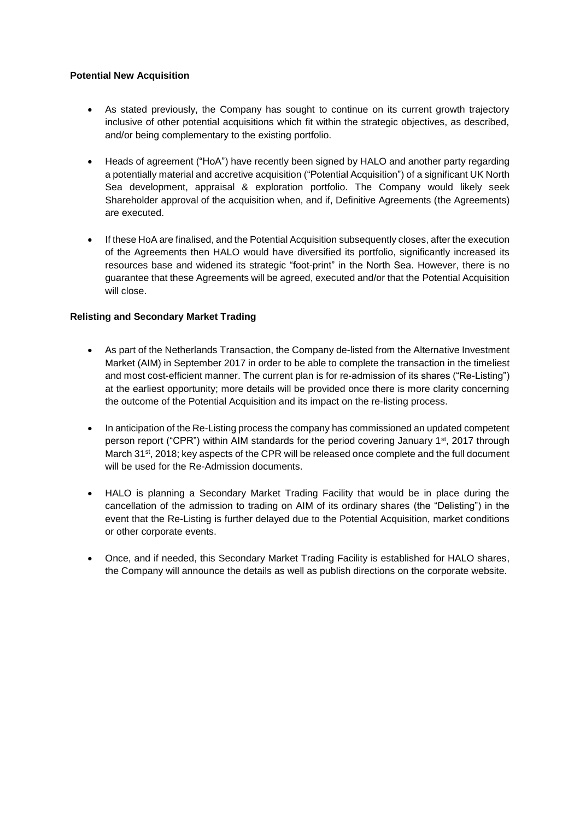## **Potential New Acquisition**

- As stated previously, the Company has sought to continue on its current growth trajectory inclusive of other potential acquisitions which fit within the strategic objectives, as described, and/or being complementary to the existing portfolio.
- Heads of agreement ("HoA") have recently been signed by HALO and another party regarding a potentially material and accretive acquisition ("Potential Acquisition") of a significant UK North Sea development, appraisal & exploration portfolio. The Company would likely seek Shareholder approval of the acquisition when, and if, Definitive Agreements (the Agreements) are executed.
- If these HoA are finalised, and the Potential Acquisition subsequently closes, after the execution of the Agreements then HALO would have diversified its portfolio, significantly increased its resources base and widened its strategic "foot-print" in the North Sea. However, there is no guarantee that these Agreements will be agreed, executed and/or that the Potential Acquisition will close.

# **Relisting and Secondary Market Trading**

- As part of the Netherlands Transaction, the Company de-listed from the Alternative Investment Market (AIM) in September 2017 in order to be able to complete the transaction in the timeliest and most cost-efficient manner. The current plan is for re-admission of its shares ("Re-Listing") at the earliest opportunity; more details will be provided once there is more clarity concerning the outcome of the Potential Acquisition and its impact on the re-listing process.
- In anticipation of the Re-Listing process the company has commissioned an updated competent person report ("CPR") within AIM standards for the period covering January 1<sup>st</sup>, 2017 through March 31<sup>st</sup>, 2018; key aspects of the CPR will be released once complete and the full document will be used for the Re-Admission documents.
- HALO is planning a Secondary Market Trading Facility that would be in place during the cancellation of the admission to trading on AIM of its ordinary shares (the "Delisting") in the event that the Re-Listing is further delayed due to the Potential Acquisition, market conditions or other corporate events.
- Once, and if needed, this Secondary Market Trading Facility is established for HALO shares, the Company will announce the details as well as publish directions on the corporate website.